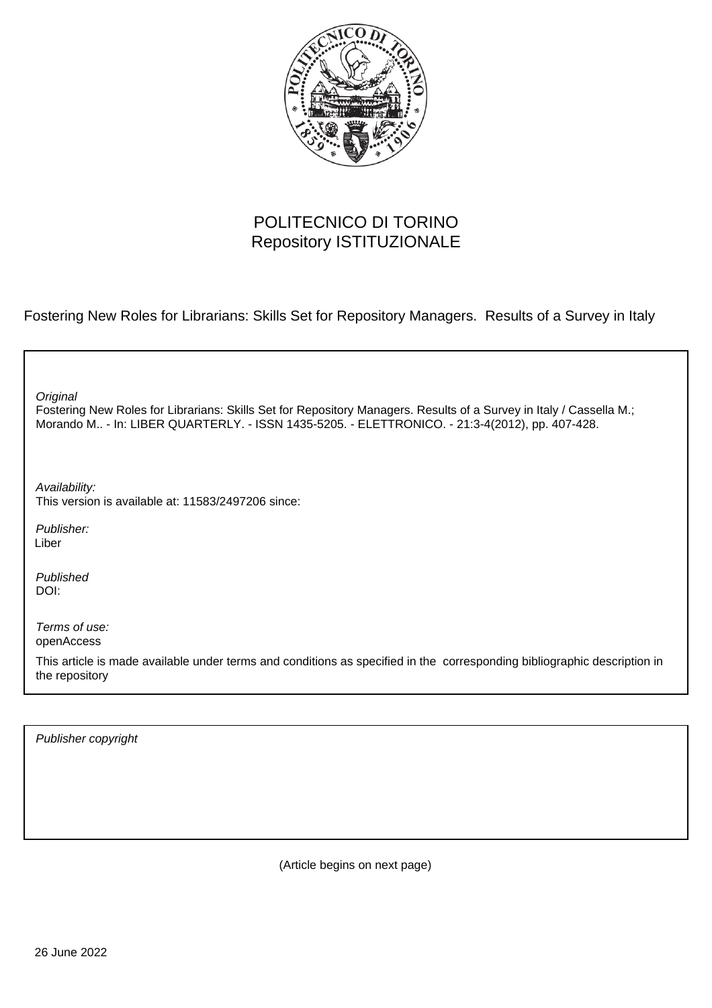

# POLITECNICO DI TORINO Repository ISTITUZIONALE

Fostering New Roles for Librarians: Skills Set for Repository Managers. Results of a Survey in Italy

| Original<br>Fostering New Roles for Librarians: Skills Set for Repository Managers. Results of a Survey in Italy / Cassella M.;<br>Morando M - In: LIBER QUARTERLY. - ISSN 1435-5205. - ELETTRONICO. - 21:3-4(2012), pp. 407-428. |
|-----------------------------------------------------------------------------------------------------------------------------------------------------------------------------------------------------------------------------------|
| Availability:<br>This version is available at: 11583/2497206 since:                                                                                                                                                               |
| Publisher:<br>Liber                                                                                                                                                                                                               |
| Published<br>DOI:                                                                                                                                                                                                                 |
| Terms of use:<br>openAccess                                                                                                                                                                                                       |
| This article is made available under terms and conditions as specified in the corresponding bibliographic description in<br>the repository                                                                                        |
|                                                                                                                                                                                                                                   |

Publisher copyright

(Article begins on next page)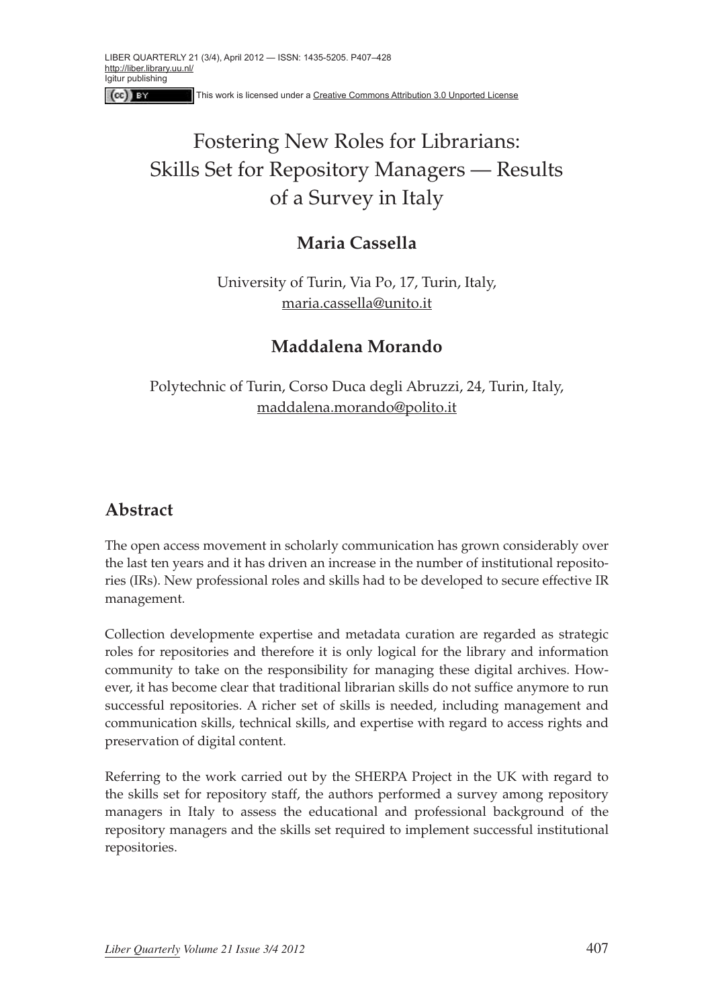This work is licensed under a [Creative Commons Attribution 3.0 Unported License](http://creativecommons.org/licenses/by/3.0/)

# Fostering New Roles for Librarians: Skills Set for Repository Managers — Results of a Survey in Italy

### **Maria Cassella**

University of Turin, Via Po, 17, Turin, Italy, maria.cassella@unito.it

### **Maddalena Morando**

Polytechnic of Turin, Corso Duca degli Abruzzi, 24, Turin, Italy, maddalena.morando@polito.it

## **Abstract**

 $[$ (cc) $]$  BY

The open access movement in scholarly communication has grown considerably over the last ten years and it has driven an increase in the number of institutional repositories (IRs). New professional roles and skills had to be developed to secure effective IR management.

Collection developmente expertise and metadata curation are regarded as strategic roles for repositories and therefore it is only logical for the library and information community to take on the responsibility for managing these digital archives. However, it has become clear that traditional librarian skills do not suffice anymore to run successful repositories. A richer set of skills is needed, including management and communication skills, technical skills, and expertise with regard to access rights and preservation of digital content.

Referring to the work carried out by the SHERPA Project in the UK with regard to the skills set for repository staff, the authors performed a survey among repository managers in Italy to assess the educational and professional background of the repository managers and the skills set required to implement successful institutional repositories.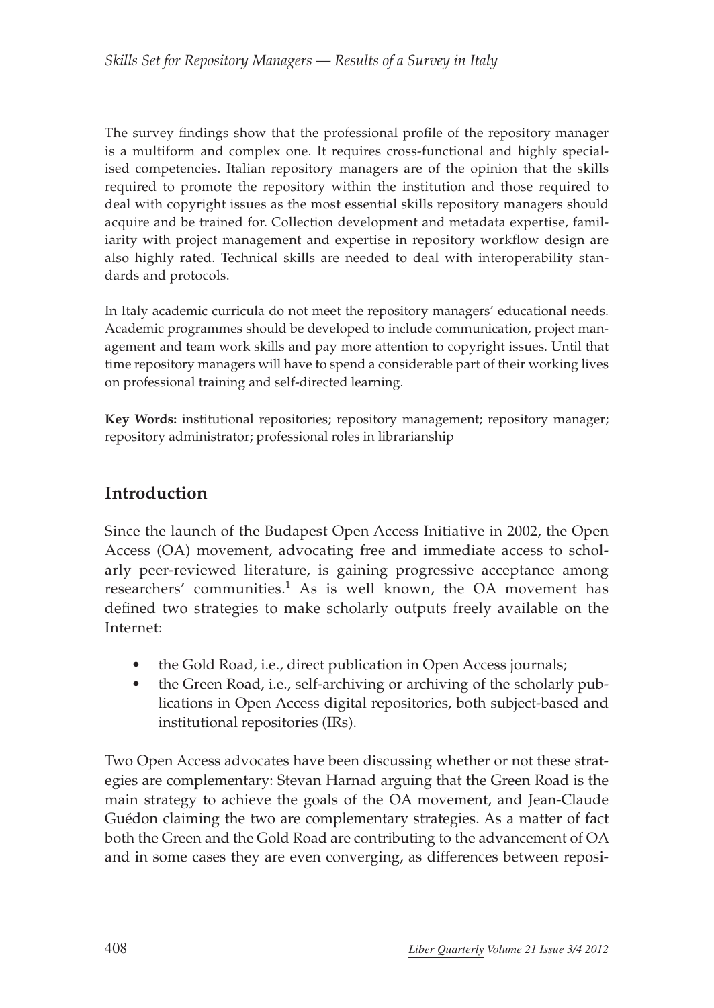The survey findings show that the professional profile of the repository manager is a multiform and complex one. It requires cross-functional and highly specialised competencies. Italian repository managers are of the opinion that the skills required to promote the repository within the institution and those required to deal with copyright issues as the most essential skills repository managers should acquire and be trained for. Collection development and metadata expertise, familiarity with project management and expertise in repository workflow design are also highly rated. Technical skills are needed to deal with interoperability standards and protocols.

In Italy academic curricula do not meet the repository managers' educational needs. Academic programmes should be developed to include communication, project management and team work skills and pay more attention to copyright issues. Until that time repository managers will have to spend a considerable part of their working lives on professional training and self-directed learning.

**Key Words:** institutional repositories; repository management; repository manager; repository administrator; professional roles in librarianship

# **Introduction**

Since the launch of the Budapest Open Access Initiative in 2002, the Open Access (OA) movement, advocating free and immediate access to scholarly peer-reviewed literature, is gaining progressive acceptance among researchers' communities.<sup>1</sup> As is well known, the OA movement has defined two strategies to make scholarly outputs freely available on the Internet:

- the Gold Road, i.e., direct publication in Open Access journals;
- the Green Road, i.e., self-archiving or archiving of the scholarly publications in Open Access digital repositories, both subject-based and institutional repositories (IRs).

Two Open Access advocates have been discussing whether or not these strategies are complementary: Stevan Harnad arguing that the Green Road is the main strategy to achieve the goals of the OA movement, and Jean-Claude Guédon claiming the two are complementary strategies. As a matter of fact both the Green and the Gold Road are contributing to the advancement of OA and in some cases they are even converging, as differences between reposi-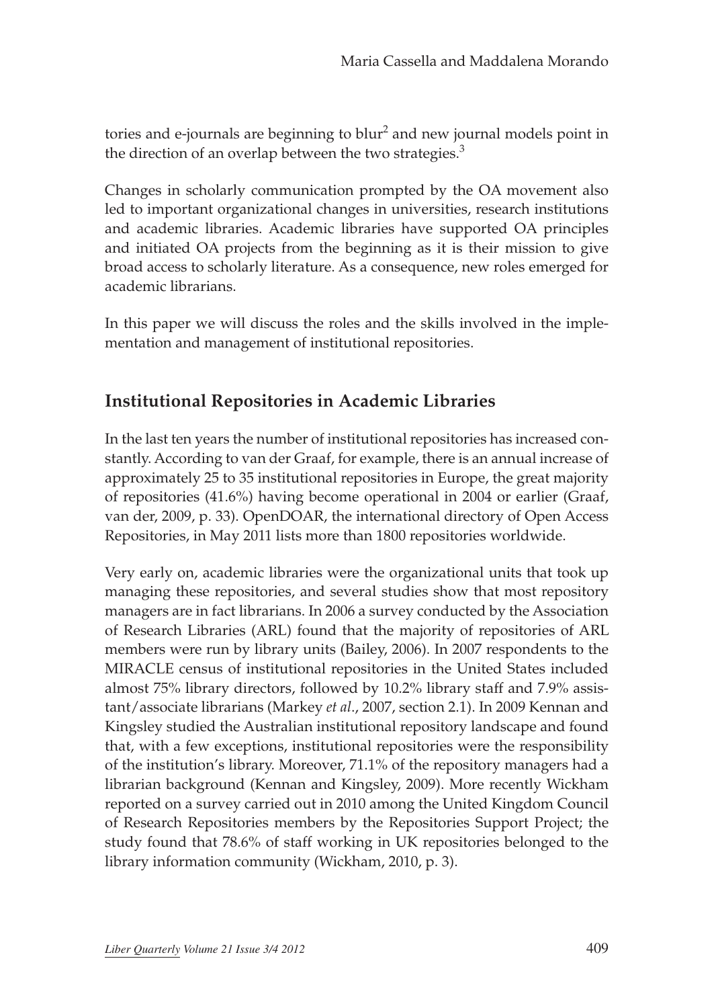tories and e-journals are beginning to blur<sup>2</sup> and new journal models point in the direction of an overlap between the two strategies.<sup>3</sup>

Changes in scholarly communication prompted by the OA movement also led to important organizational changes in universities, research institutions and academic libraries. Academic libraries have supported OA principles and initiated OA projects from the beginning as it is their mission to give broad access to scholarly literature. As a consequence, new roles emerged for academic librarians.

In this paper we will discuss the roles and the skills involved in the implementation and management of institutional repositories.

### **Institutional Repositories in Academic Libraries**

In the last ten years the number of institutional repositories has increased constantly. According to van der Graaf, for example, there is an annual increase of approximately 25 to 35 institutional repositories in Europe, the great majority of repositories (41.6%) having become operational in 2004 or earlier (Graaf, van der, 2009, p. 33). OpenDOAR, the international directory of Open Access Repositories, in May 2011 lists more than 1800 repositories worldwide.

Very early on, academic libraries were the organizational units that took up managing these repositories, and several studies show that most repository managers are in fact librarians. In 2006 a survey conducted by the Association of Research Libraries (ARL) found that the majority of repositories of ARL members were run by library units (Bailey, 2006). In 2007 respondents to the MIRACLE census of institutional repositories in the United States included almost 75% library directors, followed by 10.2% library staff and 7.9% assistant/associate librarians (Markey *et al*., 2007, section 2.1). In 2009 Kennan and Kingsley studied the Australian institutional repository landscape and found that, with a few exceptions, institutional repositories were the responsibility of the institution's library. Moreover, 71.1% of the repository managers had a librarian background (Kennan and Kingsley, 2009). More recently Wickham reported on a survey carried out in 2010 among the United Kingdom Council of Research Repositories members by the Repositories Support Project; the study found that 78.6% of staff working in UK repositories belonged to the library information community (Wickham, 2010, p. 3).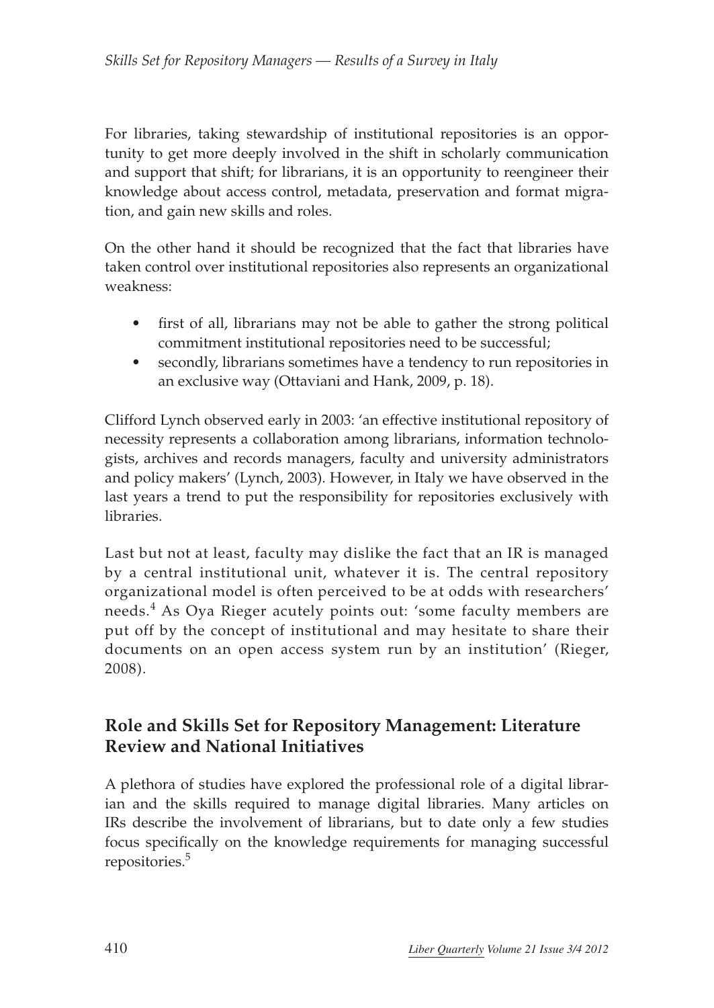For libraries, taking stewardship of institutional repositories is an opportunity to get more deeply involved in the shift in scholarly communication and support that shift; for librarians, it is an opportunity to reengineer their knowledge about access control, metadata, preservation and format migration, and gain new skills and roles.

On the other hand it should be recognized that the fact that libraries have taken control over institutional repositories also represents an organizational weakness:

- first of all, librarians may not be able to gather the strong political commitment institutional repositories need to be successful;
- secondly, librarians sometimes have a tendency to run repositories in an exclusive way (Ottaviani and Hank, 2009, p. 18).

Clifford Lynch observed early in 2003: 'an effective institutional repository of necessity represents a collaboration among librarians, information technologists, archives and records managers, faculty and university administrators and policy makers' (Lynch, 2003). However, in Italy we have observed in the last years a trend to put the responsibility for repositories exclusively with libraries.

Last but not at least, faculty may dislike the fact that an IR is managed by a central institutional unit, whatever it is. The central repository organizational model is often perceived to be at odds with researchers' needs.4 As Oya Rieger acutely points out: 'some faculty members are put off by the concept of institutional and may hesitate to share their documents on an open access system run by an institution' (Rieger, 2008).

# **Role and Skills Set for Repository Management: Literature Review and National Initiatives**

A plethora of studies have explored the professional role of a digital librarian and the skills required to manage digital libraries. Many articles on IRs describe the involvement of librarians, but to date only a few studies focus specifically on the knowledge requirements for managing successful repositories.<sup>5</sup>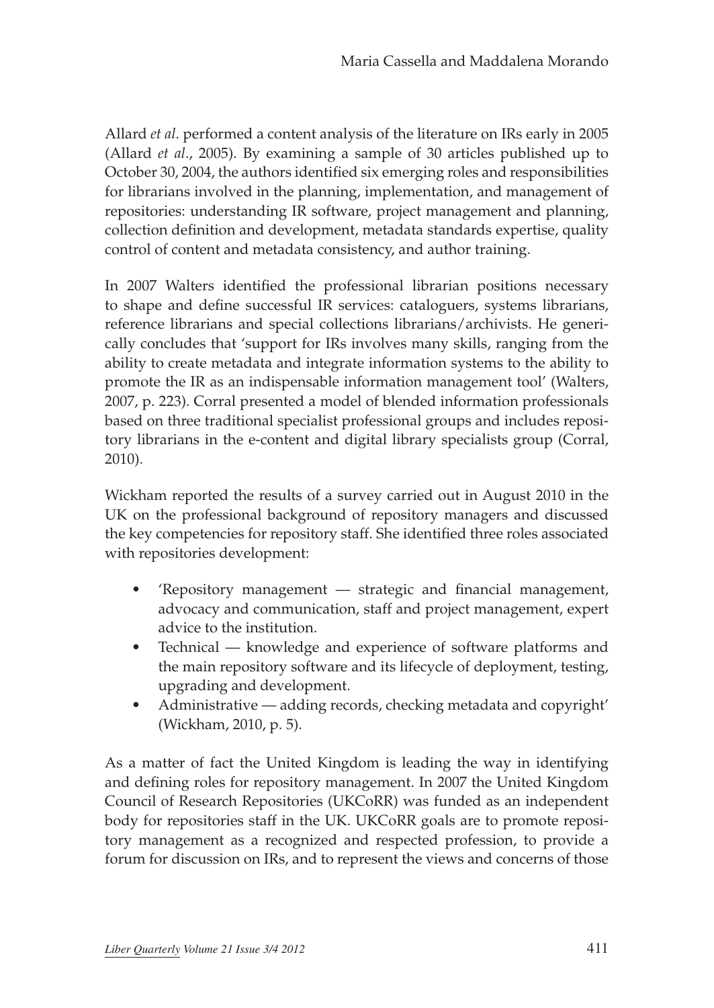Allard *et al*. performed a content analysis of the literature on IRs early in 2005 (Allard *et al*., 2005). By examining a sample of 30 articles published up to October 30, 2004, the authors identified six emerging roles and responsibilities for librarians involved in the planning, implementation, and management of repositories: understanding IR software, project management and planning, collection definition and development, metadata standards expertise, quality control of content and metadata consistency, and author training.

In 2007 Walters identified the professional librarian positions necessary to shape and define successful IR services: cataloguers, systems librarians, reference librarians and special collections librarians/archivists. He generically concludes that 'support for IRs involves many skills, ranging from the ability to create metadata and integrate information systems to the ability to promote the IR as an indispensable information management tool' (Walters, 2007, p. 223). Corral presented a model of blended information professionals based on three traditional specialist professional groups and includes repository librarians in the e-content and digital library specialists group (Corral, 2010).

Wickham reported the results of a survey carried out in August 2010 in the UK on the professional background of repository managers and discussed the key competencies for repository staff. She identified three roles associated with repositories development:

- • 'Repository management strategic and financial management, advocacy and communication, staff and project management, expert advice to the institution.
- Technical knowledge and experience of software platforms and the main repository software and its lifecycle of deployment, testing, upgrading and development.
- Administrative adding records, checking metadata and copyright' (Wickham, 2010, p. 5).

As a matter of fact the United Kingdom is leading the way in identifying and defining roles for repository management. In 2007 the United Kingdom Council of Research Repositories (UKCoRR) was funded as an independent body for repositories staff in the UK. UKCoRR goals are to promote repository management as a recognized and respected profession, to provide a forum for discussion on IRs, and to represent the views and concerns of those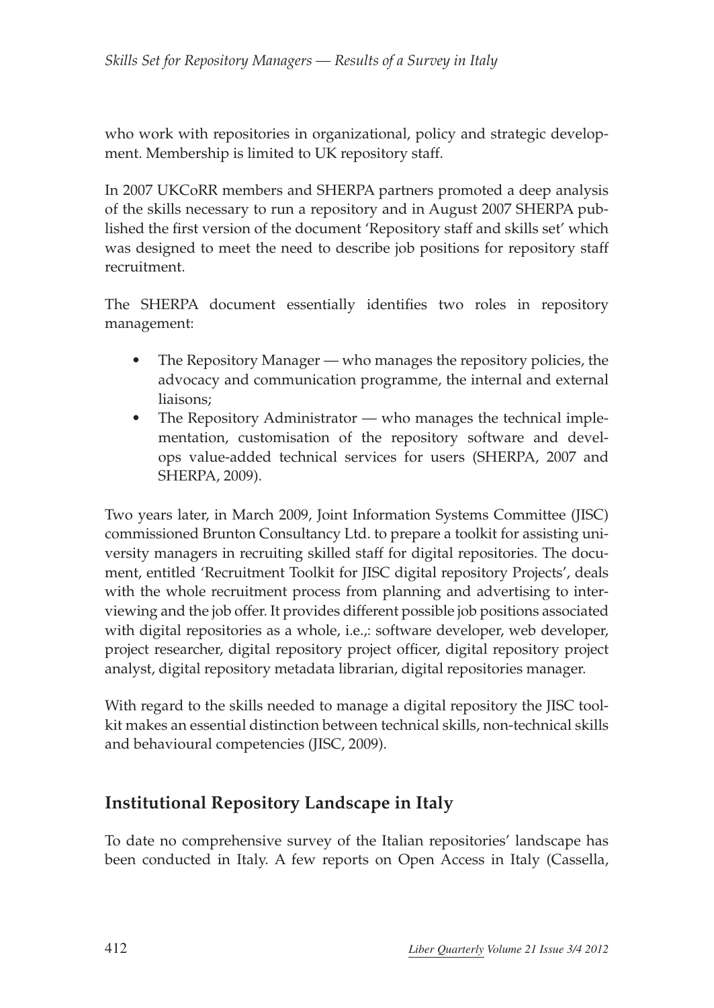who work with repositories in organizational, policy and strategic development. Membership is limited to UK repository staff.

In 2007 UKCoRR members and SHERPA partners promoted a deep analysis of the skills necessary to run a repository and in August 2007 SHERPA published the first version of the document 'Repository staff and skills set' which was designed to meet the need to describe job positions for repository staff recruitment.

The SHERPA document essentially identifies two roles in repository management:

- The Repository Manager who manages the repository policies, the advocacy and communication programme, the internal and external liaisons;
- The Repository Administrator who manages the technical implementation, customisation of the repository software and develops value-added technical services for users (SHERPA, 2007 and SHERPA, 2009).

Two years later, in March 2009, Joint Information Systems Committee (JISC) commissioned Brunton Consultancy Ltd. to prepare a toolkit for assisting university managers in recruiting skilled staff for digital repositories. The document, entitled 'Recruitment Toolkit for JISC digital repository Projects', deals with the whole recruitment process from planning and advertising to interviewing and the job offer. It provides different possible job positions associated with digital repositories as a whole, i.e.,: software developer, web developer, project researcher, digital repository project officer, digital repository project analyst, digital repository metadata librarian, digital repositories manager.

With regard to the skills needed to manage a digital repository the JISC toolkit makes an essential distinction between technical skills, non-technical skills and behavioural competencies (JISC, 2009).

# **Institutional Repository Landscape in Italy**

To date no comprehensive survey of the Italian repositories' landscape has been conducted in Italy. A few reports on Open Access in Italy (Cassella,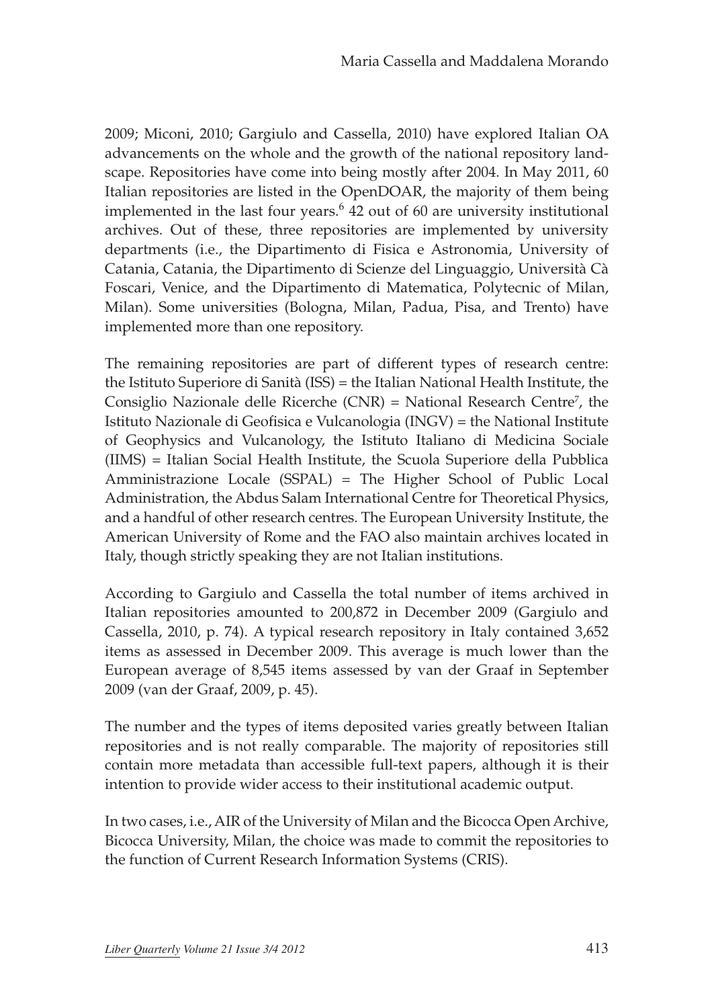2009; Miconi, 2010; Gargiulo and Cassella, 2010) have explored Italian OA advancements on the whole and the growth of the national repository landscape. Repositories have come into being mostly after 2004. In May 2011, 60 Italian repositories are listed in the OpenDOAR, the majority of them being implemented in the last four years.<sup>6</sup> 42 out of 60 are university institutional archives. Out of these, three repositories are implemented by university departments (i.e., the Dipartimento di Fisica e Astronomia, University of Catania, Catania, the Dipartimento di Scienze del Linguaggio, Università Cà Foscari, Venice, and the Dipartimento di Matematica, Polytecnic of Milan, Milan). Some universities (Bologna, Milan, Padua, Pisa, and Trento) have implemented more than one repository.

The remaining repositories are part of different types of research centre: the Istituto Superiore di Sanità (ISS) = the Italian National Health Institute, the Consiglio Nazionale delle Ricerche (CNR) = National Research Centre<sup>7</sup>, the Istituto Nazionale di Geofisica e Vulcanologia (INGV) = the National Institute of Geophysics and Vulcanology, the Istituto Italiano di Medicina Sociale (IIMS) = Italian Social Health Institute, the Scuola Superiore della Pubblica Amministrazione Locale (SSPAL) = The Higher School of Public Local Administration, the Abdus Salam International Centre for Theoretical Physics, and a handful of other research centres. The European University Institute, the American University of Rome and the FAO also maintain archives located in Italy, though strictly speaking they are not Italian institutions.

According to Gargiulo and Cassella the total number of items archived in Italian repositories amounted to 200,872 in December 2009 (Gargiulo and Cassella, 2010, p. 74). A typical research repository in Italy contained 3,652 items as assessed in December 2009. This average is much lower than the European average of 8,545 items assessed by van der Graaf in September 2009 (van der Graaf, 2009, p. 45).

The number and the types of items deposited varies greatly between Italian repositories and is not really comparable. The majority of repositories still contain more metadata than accessible full-text papers, although it is their intention to provide wider access to their institutional academic output.

In two cases, i.e., AIR of the University of Milan and the Bicocca Open Archive, Bicocca University, Milan, the choice was made to commit the repositories to the function of Current Research Information Systems (CRIS).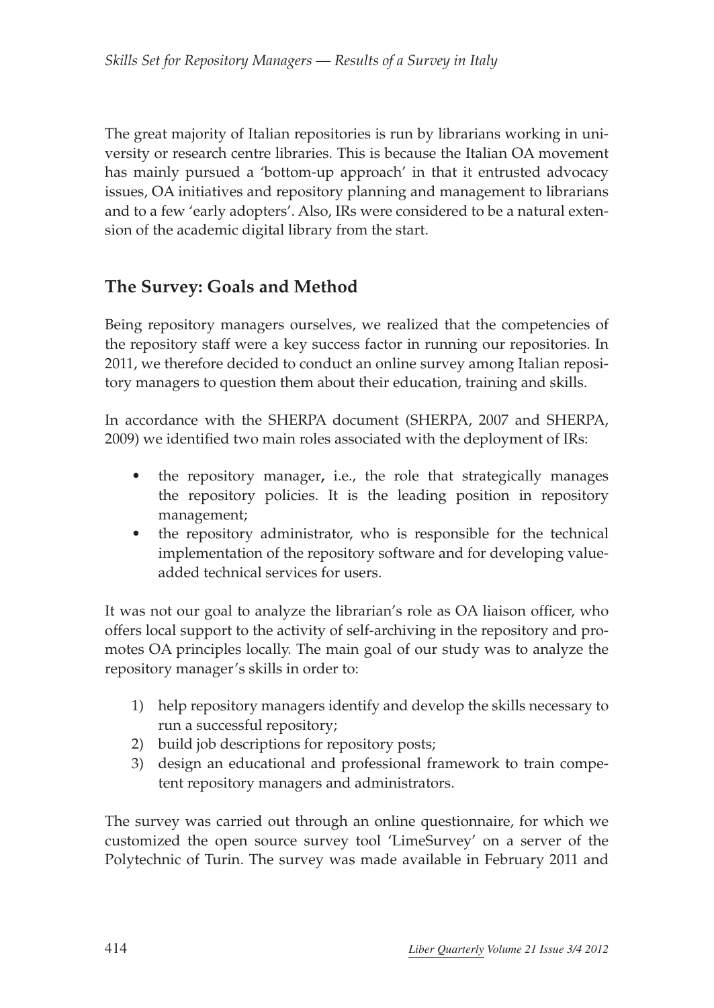The great majority of Italian repositories is run by librarians working in university or research centre libraries. This is because the Italian OA movement has mainly pursued a 'bottom-up approach' in that it entrusted advocacy issues, OA initiatives and repository planning and management to librarians and to a few 'early adopters'. Also, IRs were considered to be a natural extension of the academic digital library from the start.

# **The Survey: Goals and Method**

Being repository managers ourselves, we realized that the competencies of the repository staff were a key success factor in running our repositories. In 2011, we therefore decided to conduct an online survey among Italian repository managers to question them about their education, training and skills.

In accordance with the SHERPA document (SHERPA, 2007 and SHERPA, 2009) we identified two main roles associated with the deployment of IRs:

- the repository manager, i.e., the role that strategically manages the repository policies. It is the leading position in repository management;
- the repository administrator, who is responsible for the technical implementation of the repository software and for developing valueadded technical services for users.

It was not our goal to analyze the librarian's role as OA liaison officer, who offers local support to the activity of self-archiving in the repository and promotes OA principles locally. The main goal of our study was to analyze the repository manager's skills in order to:

- 1) help repository managers identify and develop the skills necessary to run a successful repository;
- 2) build job descriptions for repository posts;
- 3) design an educational and professional framework to train competent repository managers and administrators.

The survey was carried out through an online questionnaire, for which we customized the open source survey tool 'LimeSurvey' on a server of the Polytechnic of Turin. The survey was made available in February 2011 and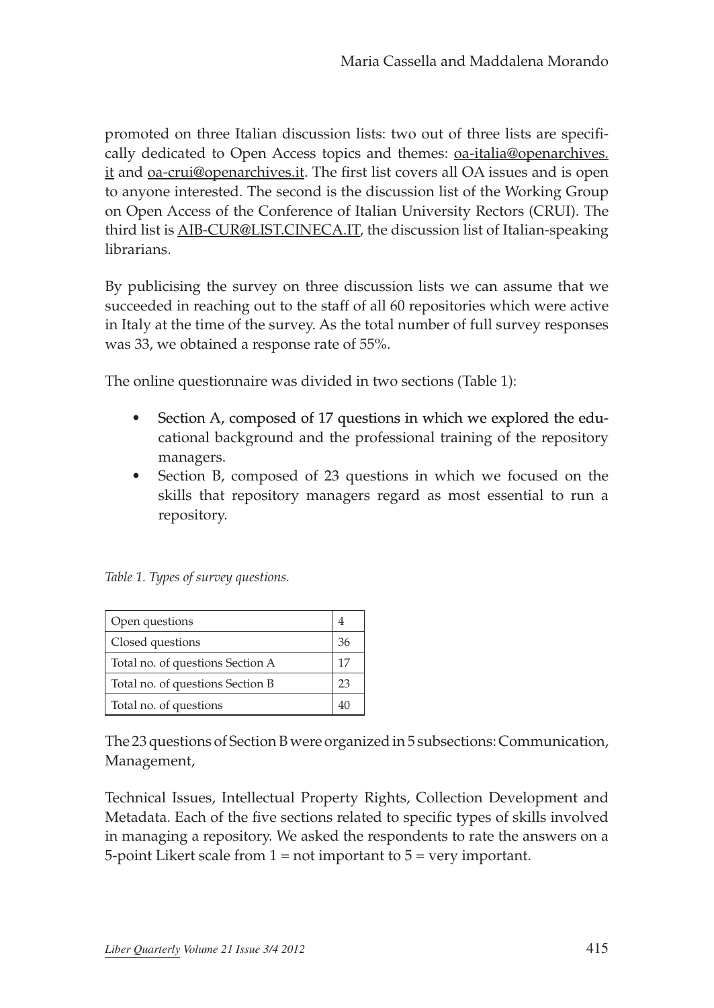promoted on three Italian discussion lists: two out of three lists are specifically dedicated to Open Access topics and themes: [oa-italia@openarchives.](mailto:oa-italia@openarchives.it) [it](mailto:oa-italia@openarchives.it) and [oa-crui@openarchives.it.](oa-crui@openarchives.it) The first list covers all OA issues and is open to anyone interested. The second is the discussion list of the Working Group on Open Access of the Conference of Italian University Rectors (CRUI). The third list is [AIB-CUR@LIST.CINECA.IT](mailto:AIB-CUR@LIST.CINECA.IT), the discussion list of Italian-speaking librarians.

By publicising the survey on three discussion lists we can assume that we succeeded in reaching out to the staff of all 60 repositories which were active in Italy at the time of the survey. As the total number of full survey responses was 33, we obtained a response rate of 55%.

The online questionnaire was divided in two sections (Table 1):

- Section A, composed of 17 questions in which we explored the educational background and the professional training of the repository managers.
- Section B, composed of 23 questions in which we focused on the skills that repository managers regard as most essential to run a repository.

*Table 1. Types of survey questions.*

| Open questions                   |    |
|----------------------------------|----|
| Closed questions                 | 36 |
| Total no. of questions Section A | 17 |
| Total no. of questions Section B | 23 |
| Total no. of questions           |    |

The 23 questions of Section B were organized in 5 subsections: Communication, Management,

Technical Issues, Intellectual Property Rights, Collection Development and Metadata. Each of the five sections related to specific types of skills involved in managing a repository. We asked the respondents to rate the answers on a 5-point Likert scale from  $1 = not$  important to  $5 = very$  important.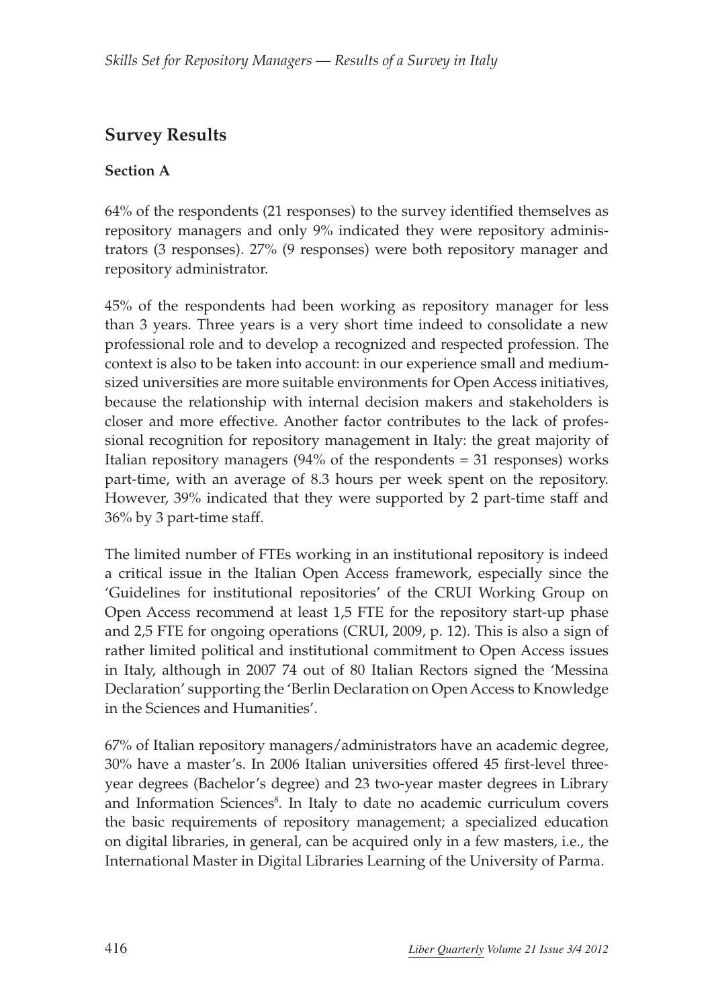# **Survey Results**

### **Section A**

64% of the respondents (21 responses) to the survey identified themselves as repository managers and only 9% indicated they were repository administrators (3 responses). 27% (9 responses) were both repository manager and repository administrator.

45% of the respondents had been working as repository manager for less than 3 years. Three years is a very short time indeed to consolidate a new professional role and to develop a recognized and respected profession. The context is also to be taken into account: in our experience small and mediumsized universities are more suitable environments for Open Access initiatives, because the relationship with internal decision makers and stakeholders is closer and more effective. Another factor contributes to the lack of professional recognition for repository management in Italy: the great majority of Italian repository managers  $(94\%$  of the respondents = 31 responses) works part-time, with an average of 8.3 hours per week spent on the repository. However, 39% indicated that they were supported by 2 part-time staff and 36% by 3 part-time staff.

The limited number of FTEs working in an institutional repository is indeed a critical issue in the Italian Open Access framework, especially since the 'Guidelines for institutional repositories' of the CRUI Working Group on Open Access recommend at least 1,5 FTE for the repository start-up phase and 2,5 FTE for ongoing operations (CRUI, 2009, p. 12). This is also a sign of rather limited political and institutional commitment to Open Access issues in Italy, although in 2007 74 out of 80 Italian Rectors signed the 'Messina Declaration' supporting the 'Berlin Declaration on Open Access to Knowledge in the Sciences and Humanities'.

67% of Italian repository managers/administrators have an academic degree, 30% have a master's. In 2006 Italian universities offered 45 first-level threeyear degrees (Bachelor's degree) and 23 two-year master degrees in Library and Information Sciences<sup>8</sup>. In Italy to date no academic curriculum covers the basic requirements of repository management; a specialized education on digital libraries, in general, can be acquired only in a few masters, i.e., the International Master in Digital Libraries Learning of the University of Parma.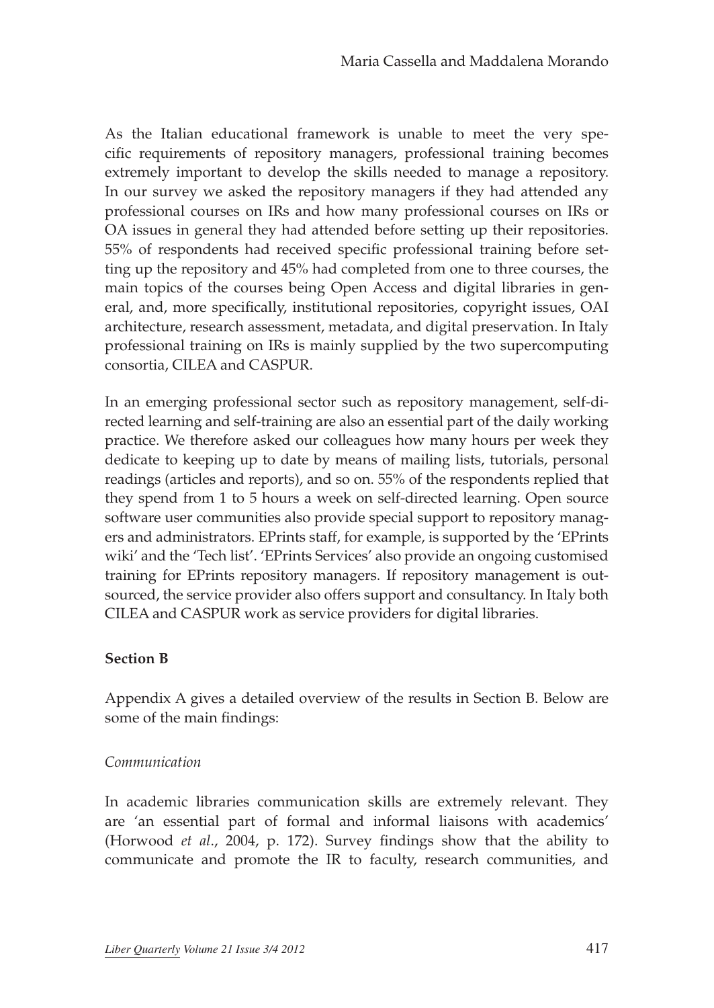As the Italian educational framework is unable to meet the very specific requirements of repository managers, professional training becomes extremely important to develop the skills needed to manage a repository. In our survey we asked the repository managers if they had attended any professional courses on IRs and how many professional courses on IRs or OA issues in general they had attended before setting up their repositories. 55% of respondents had received specific professional training before setting up the repository and 45% had completed from one to three courses, the main topics of the courses being Open Access and digital libraries in general, and, more specifically, institutional repositories, copyright issues, OAI architecture, research assessment, metadata, and digital preservation. In Italy professional training on IRs is mainly supplied by the two supercomputing consortia, CILEA and CASPUR.

In an emerging professional sector such as repository management, self-directed learning and self-training are also an essential part of the daily working practice. We therefore asked our colleagues how many hours per week they dedicate to keeping up to date by means of mailing lists, tutorials, personal readings (articles and reports), and so on. 55% of the respondents replied that they spend from 1 to 5 hours a week on self-directed learning. Open source software user communities also provide special support to repository managers and administrators. EPrints staff, for example, is supported by the 'EPrints wiki' and the 'Tech list'. 'EPrints Services' also provide an ongoing customised training for EPrints repository managers. If repository management is outsourced, the service provider also offers support and consultancy. In Italy both CILEA and CASPUR work as service providers for digital libraries.

#### **Section B**

Appendix A gives a detailed overview of the results in Section B. Below are some of the main findings:

#### *Communication*

In academic libraries communication skills are extremely relevant. They are 'an essential part of formal and informal liaisons with academics' (Horwood *et al*., 2004, p. 172). Survey findings show that the ability to communicate and promote the IR to faculty, research communities, and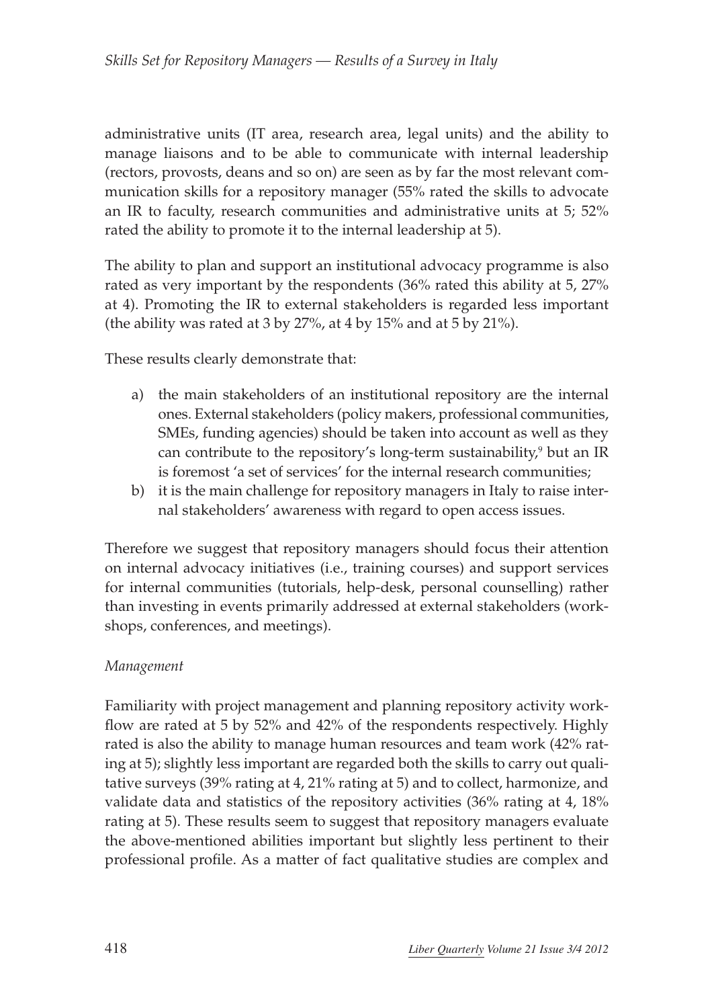administrative units (IT area, research area, legal units) and the ability to manage liaisons and to be able to communicate with internal leadership (rectors, provosts, deans and so on) are seen as by far the most relevant communication skills for a repository manager (55% rated the skills to advocate an IR to faculty, research communities and administrative units at 5; 52% rated the ability to promote it to the internal leadership at 5).

The ability to plan and support an institutional advocacy programme is also rated as very important by the respondents (36% rated this ability at 5, 27% at 4). Promoting the IR to external stakeholders is regarded less important (the ability was rated at 3 by 27%, at 4 by 15% and at 5 by 21%).

These results clearly demonstrate that:

- a) the main stakeholders of an institutional repository are the internal ones. External stakeholders (policy makers, professional communities, SMEs, funding agencies) should be taken into account as well as they can contribute to the repository's long-term sustainability,<sup>9</sup> but an IR is foremost 'a set of services' for the internal research communities;
- b) it is the main challenge for repository managers in Italy to raise internal stakeholders' awareness with regard to open access issues.

Therefore we suggest that repository managers should focus their attention on internal advocacy initiatives (i.e., training courses) and support services for internal communities (tutorials, help-desk, personal counselling) rather than investing in events primarily addressed at external stakeholders (workshops, conferences, and meetings).

#### *Management*

Familiarity with project management and planning repository activity workflow are rated at 5 by 52% and 42% of the respondents respectively. Highly rated is also the ability to manage human resources and team work (42% rating at 5); slightly less important are regarded both the skills to carry out qualitative surveys (39% rating at 4, 21% rating at 5) and to collect, harmonize, and validate data and statistics of the repository activities (36% rating at 4, 18% rating at 5). These results seem to suggest that repository managers evaluate the above-mentioned abilities important but slightly less pertinent to their professional profile. As a matter of fact qualitative studies are complex and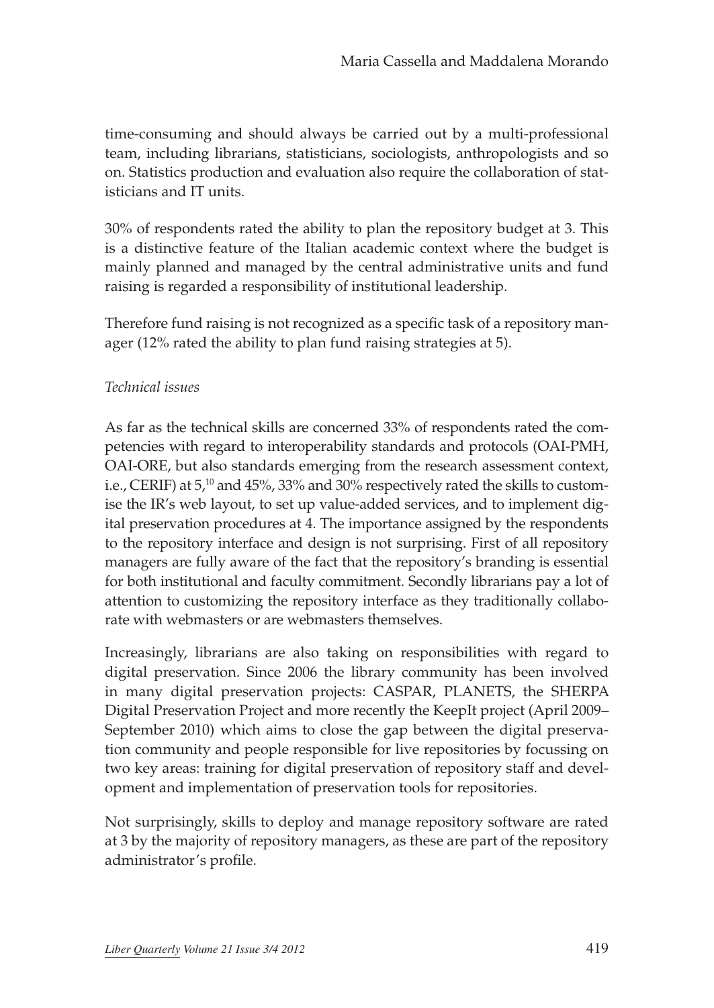time-consuming and should always be carried out by a multi-professional team, including librarians, statisticians, sociologists, anthropologists and so on. Statistics production and evaluation also require the collaboration of statisticians and IT units.

30% of respondents rated the ability to plan the repository budget at 3. This is a distinctive feature of the Italian academic context where the budget is mainly planned and managed by the central administrative units and fund raising is regarded a responsibility of institutional leadership.

Therefore fund raising is not recognized as a specific task of a repository manager (12% rated the ability to plan fund raising strategies at 5).

#### *Technical issues*

As far as the technical skills are concerned 33% of respondents rated the competencies with regard to interoperability standards and protocols (OAI-PMH, OAI-ORE, but also standards emerging from the research assessment context, i.e., CERIF) at 5,10 and 45%, 33% and 30% respectively rated the skills to customise the IR's web layout, to set up value-added services, and to implement digital preservation procedures at 4. The importance assigned by the respondents to the repository interface and design is not surprising. First of all repository managers are fully aware of the fact that the repository's branding is essential for both institutional and faculty commitment. Secondly librarians pay a lot of attention to customizing the repository interface as they traditionally collaborate with webmasters or are webmasters themselves.

Increasingly, librarians are also taking on responsibilities with regard to digital preservation. Since 2006 the library community has been involved in many digital preservation projects: CASPAR, PLANETS, the SHERPA Digital Preservation Project and more recently the KeepIt project (April 2009– September 2010) which aims to close the gap between the digital preservation community and people responsible for live repositories by focussing on two key areas: training for digital preservation of repository staff and development and implementation of preservation tools for repositories.

Not surprisingly, skills to deploy and manage repository software are rated at 3 by the majority of repository managers, as these are part of the repository administrator's profile.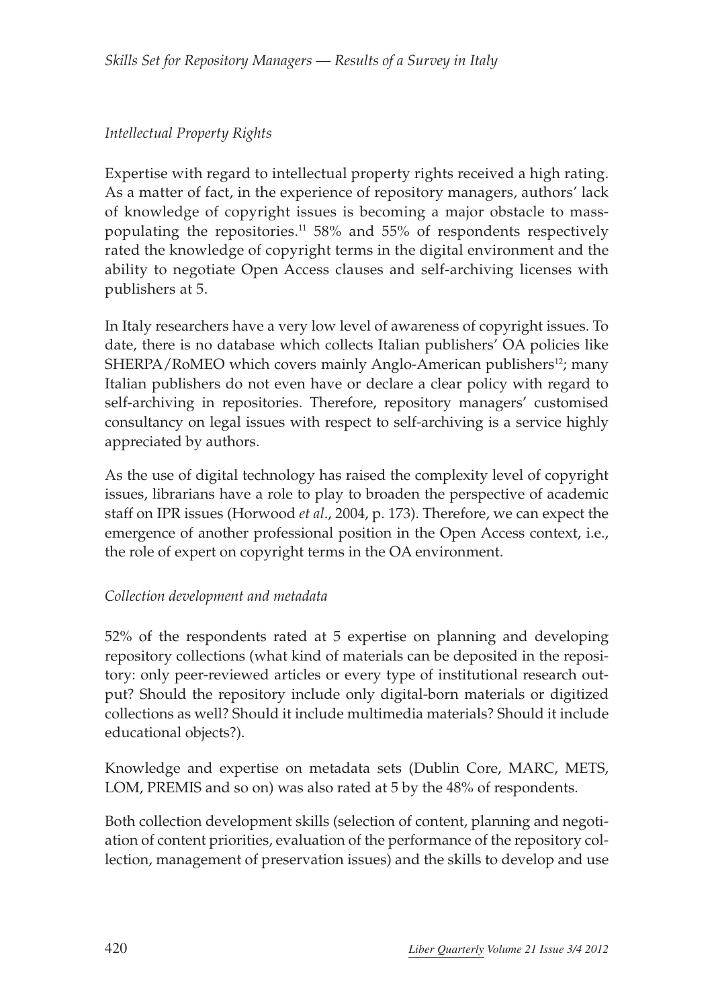### *Intellectual Property Rights*

Expertise with regard to intellectual property rights received a high rating. As a matter of fact, in the experience of repository managers, authors' lack of knowledge of copyright issues is becoming a major obstacle to masspopulating the repositories. $11\,58\%$  and 55% of respondents respectively rated the knowledge of copyright terms in the digital environment and the ability to negotiate Open Access clauses and self-archiving licenses with publishers at 5.

In Italy researchers have a very low level of awareness of copyright issues. To date, there is no database which collects Italian publishers' OA policies like SHERPA/RoMEO which covers mainly Anglo-American publishers<sup>12</sup>; many Italian publishers do not even have or declare a clear policy with regard to self-archiving in repositories. Therefore, repository managers' customised consultancy on legal issues with respect to self-archiving is a service highly appreciated by authors.

As the use of digital technology has raised the complexity level of copyright issues, librarians have a role to play to broaden the perspective of academic staff on IPR issues (Horwood *et al*., 2004, p. 173). Therefore, we can expect the emergence of another professional position in the Open Access context, i.e., the role of expert on copyright terms in the OA environment.

### *Collection development and metadata*

52% of the respondents rated at 5 expertise on planning and developing repository collections (what kind of materials can be deposited in the repository: only peer-reviewed articles or every type of institutional research output? Should the repository include only digital-born materials or digitized collections as well? Should it include multimedia materials? Should it include educational objects?).

Knowledge and expertise on metadata sets (Dublin Core, MARC, METS, LOM, PREMIS and so on) was also rated at 5 by the 48% of respondents.

Both collection development skills (selection of content, planning and negotiation of content priorities, evaluation of the performance of the repository collection, management of preservation issues) and the skills to develop and use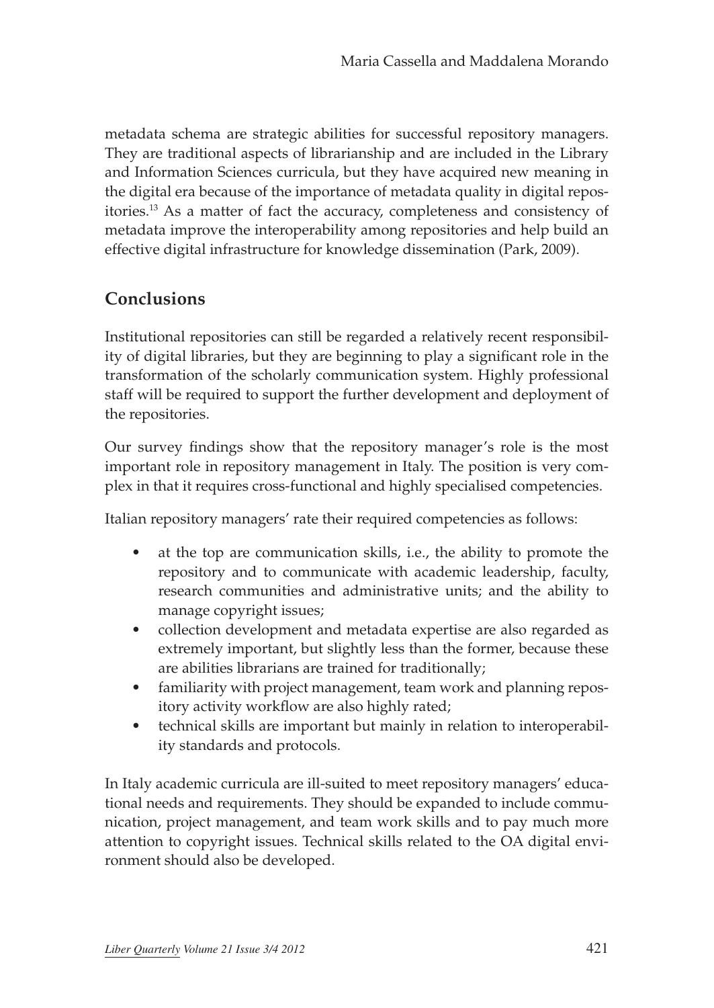metadata schema are strategic abilities for successful repository managers. They are traditional aspects of librarianship and are included in the Library and Information Sciences curricula, but they have acquired new meaning in the digital era because of the importance of metadata quality in digital repositories.13 As a matter of fact the accuracy, completeness and consistency of metadata improve the interoperability among repositories and help build an effective digital infrastructure for knowledge dissemination (Park, 2009).

### **Conclusions**

Institutional repositories can still be regarded a relatively recent responsibility of digital libraries, but they are beginning to play a significant role in the transformation of the scholarly communication system. Highly professional staff will be required to support the further development and deployment of the repositories.

Our survey findings show that the repository manager's role is the most important role in repository management in Italy. The position is very complex in that it requires cross-functional and highly specialised competencies.

Italian repository managers' rate their required competencies as follows:

- at the top are communication skills, i.e., the ability to promote the repository and to communicate with academic leadership, faculty, research communities and administrative units; and the ability to manage copyright issues;
- collection development and metadata expertise are also regarded as extremely important, but slightly less than the former, because these are abilities librarians are trained for traditionally;
- familiarity with project management, team work and planning repository activity workflow are also highly rated;
- technical skills are important but mainly in relation to interoperability standards and protocols.

In Italy academic curricula are ill-suited to meet repository managers' educational needs and requirements. They should be expanded to include communication, project management, and team work skills and to pay much more attention to copyright issues. Technical skills related to the OA digital environment should also be developed.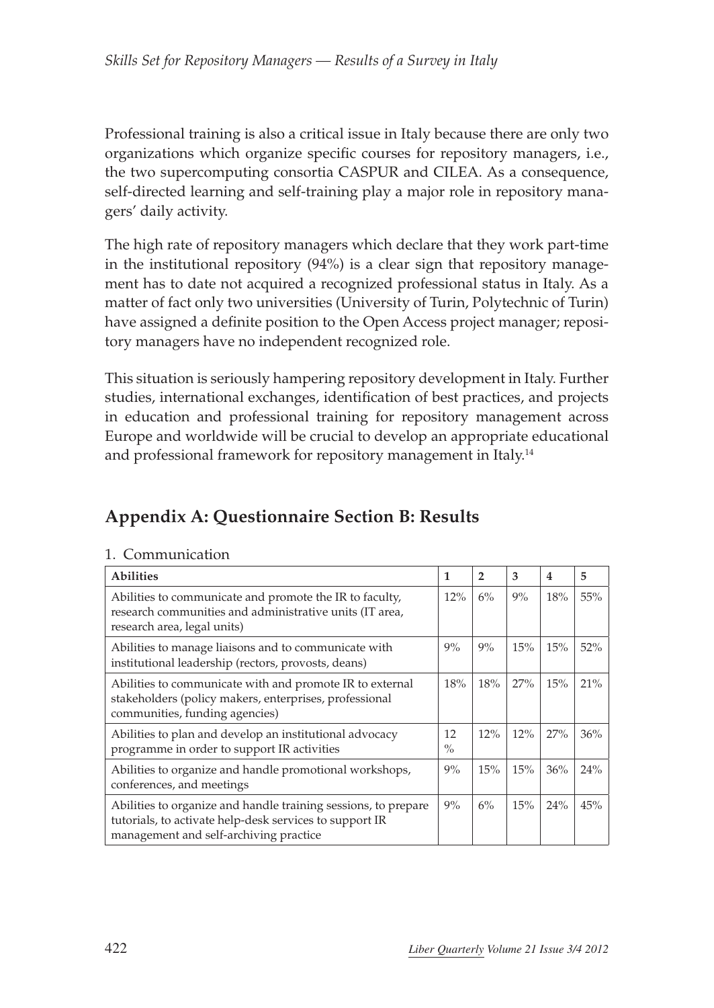Professional training is also a critical issue in Italy because there are only two organizations which organize specific courses for repository managers, i.e., the two supercomputing consortia CASPUR and CILEA. As a consequence, self-directed learning and self-training play a major role in repository managers' daily activity.

The high rate of repository managers which declare that they work part-time in the institutional repository (94%) is a clear sign that repository management has to date not acquired a recognized professional status in Italy. As a matter of fact only two universities (University of Turin, Polytechnic of Turin) have assigned a definite position to the Open Access project manager; repository managers have no independent recognized role.

This situation is seriously hampering repository development in Italy. Further studies, international exchanges, identification of best practices, and projects in education and professional training for repository management across Europe and worldwide will be crucial to develop an appropriate educational and professional framework for repository management in Italy.<sup>14</sup>

# **Appendix A: Questionnaire Section B: Results**

| <b>Abilities</b>                                                                                                                                                    | 1                   | 2   | 3   | $\overline{\mathbf{4}}$ | 5   |
|---------------------------------------------------------------------------------------------------------------------------------------------------------------------|---------------------|-----|-----|-------------------------|-----|
| Abilities to communicate and promote the IR to faculty,<br>research communities and administrative units (IT area,<br>research area, legal units)                   | 12%                 | 6%  | 9%  | 18%                     | 55% |
| Abilities to manage liaisons and to communicate with<br>institutional leadership (rectors, provosts, deans)                                                         | 9%                  | 9%  | 15% | 15%                     | 52% |
| Abilities to communicate with and promote IR to external<br>stakeholders (policy makers, enterprises, professional<br>communities, funding agencies)                | 18%                 | 18% | 27% | 15%                     | 21% |
| Abilities to plan and develop an institutional advocacy<br>programme in order to support IR activities                                                              | 12<br>$\frac{0}{0}$ | 12% | 12% | 27%                     | 36% |
| Abilities to organize and handle promotional workshops,<br>conferences, and meetings                                                                                | 9%                  | 15% | 15% | 36%                     | 24% |
| Abilities to organize and handle training sessions, to prepare<br>tutorials, to activate help-desk services to support IR<br>management and self-archiving practice | 9%                  | 6%  | 15% | 24%                     | 45% |

#### 1. Communication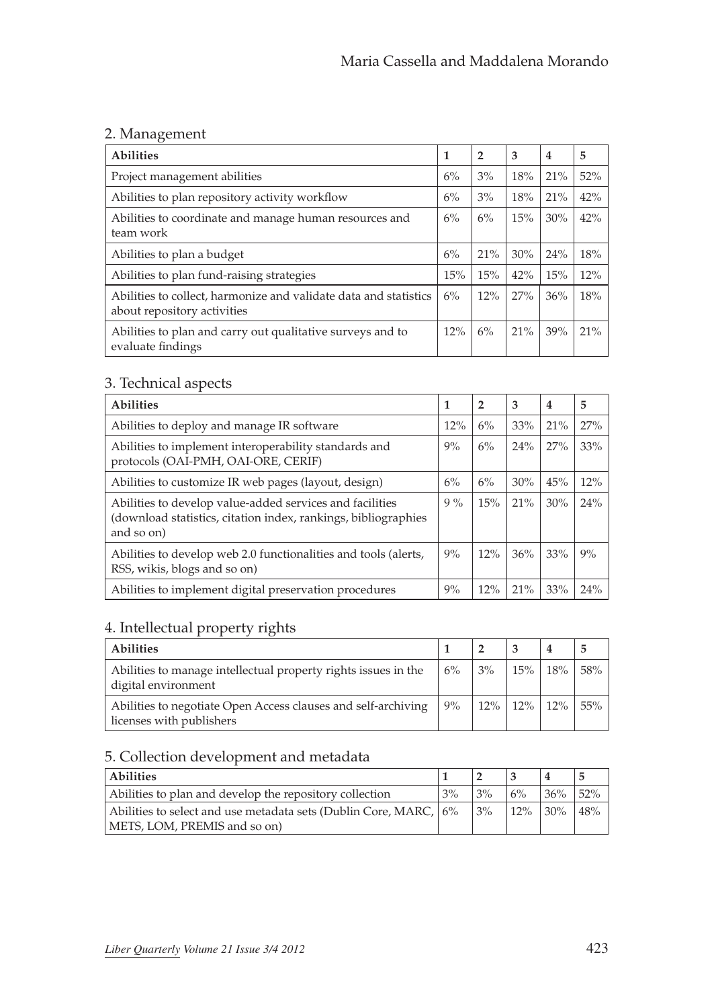### 2. Management

| <b>Abilities</b>                                                                                | 1     | $\overline{2}$ | 3   | $\overline{4}$ | 5   |
|-------------------------------------------------------------------------------------------------|-------|----------------|-----|----------------|-----|
| Project management abilities                                                                    | 6%    | 3%             | 18% | 21%            | 52% |
| Abilities to plan repository activity workflow                                                  | 6%    | 3%             | 18% | 21%            | 42% |
| Abilities to coordinate and manage human resources and<br>team work                             | 6%    | 6%             | 15% | 30%            | 42% |
| Abilities to plan a budget                                                                      | 6%    | 21%            | 30% | 24%            | 18% |
| Abilities to plan fund-raising strategies                                                       | 15%   | 15%            | 42% | 15%            | 12% |
| Abilities to collect, harmonize and validate data and statistics<br>about repository activities | $6\%$ | 12%            | 27% | 36%            | 18% |
| Abilities to plan and carry out qualitative surveys and to<br>evaluate findings                 | 12%   | 6%             | 21% | 39%            | 21% |

### 3. Technical aspects

| <b>Abilities</b>                                                                                                                         | 1     | $\overline{2}$ | 3   | $\overline{4}$ | 5   |
|------------------------------------------------------------------------------------------------------------------------------------------|-------|----------------|-----|----------------|-----|
| Abilities to deploy and manage IR software                                                                                               | 12%   | 6%             | 33% | 21%            | 27% |
| Abilities to implement interoperability standards and<br>protocols (OAI-PMH, OAI-ORE, CERIF)                                             | 9%    | 6%             | 24% | 27%            | 33% |
| Abilities to customize IR web pages (layout, design)                                                                                     | 6%    | 6%             | 30% | 45%            | 12% |
| Abilities to develop value-added services and facilities<br>(download statistics, citation index, rankings, bibliographies<br>and so on) | $9\%$ | 15%            | 21% | 30%            | 24% |
| Abilities to develop web 2.0 functionalities and tools (alerts,<br>RSS, wikis, blogs and so on)                                          | 9%    | 12%            | 36% | 33%            | 9%  |
| Abilities to implement digital preservation procedures                                                                                   | 9%    | 12%            | 21% | 33%            | 24% |

### 4. Intellectual property rights

| <b>Abilities</b>                                                                          |       |                 |              |      |
|-------------------------------------------------------------------------------------------|-------|-----------------|--------------|------|
| Abilities to manage intellectual property rights issues in the<br>digital environment     | $6\%$ | $\frac{3\%}{2}$ | $15\%$   18% | .58% |
| Abilities to negotiate Open Access clauses and self-archiving<br>licenses with publishers | $9\%$ | $12\%$          | $12\%$ 12\%  | 55%  |

### 5. Collection development and metadata

| <b>Abilities</b>                                                  |    |    |        |        |     |
|-------------------------------------------------------------------|----|----|--------|--------|-----|
| Abilities to plan and develop the repository collection           | 3% | 3% | 6%     | 36%    | 52% |
| Abilities to select and use metadata sets (Dublin Core, MARC, 16% |    | 3% | $12\%$ | $30\%$ | 48% |
| METS, LOM, PREMIS and so on)                                      |    |    |        |        |     |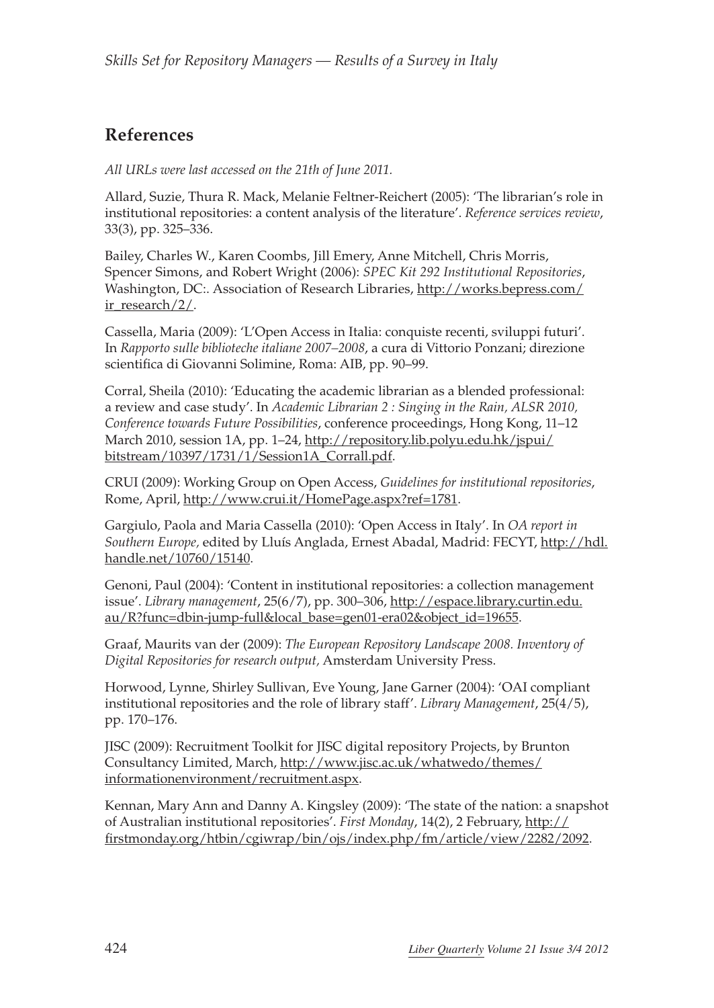# **References**

*All URLs were last accessed on the 21th of June 2011.*

Allard, Suzie, Thura R. Mack, Melanie Feltner-Reichert (2005): 'The librarian's role in institutional repositories: a content analysis of the literature'. *Reference services review*, 33(3), pp. 325–336.

Bailey, Charles W., Karen Coombs, Jill Emery, Anne Mitchell, Chris Morris, Spencer Simons, and Robert Wright (2006): *SPEC Kit 292 Institutional Repositories*, Washington, DC:. Association of Research Libraries, [http://works.bepress.com/](http://works.bepress.com/ir_research/2/) [ir\\_research/2/.](http://works.bepress.com/ir_research/2/)

Cassella, Maria (2009): 'L'Open Access in Italia: conquiste recenti, sviluppi futuri'. In *Rapporto sulle biblioteche italiane 2007–2008*, a cura di Vittorio Ponzani; direzione scientifica di Giovanni Solimine, Roma: AIB, pp. 90–99.

Corral, Sheila (2010): 'Educating the academic librarian as a blended professional: a review and case study'. In *Academic Librarian 2 : Singing in the Rain, ALSR 2010, Conference towards Future Possibilities*, conference proceedings, Hong Kong, 11–12 March 2010, session 1A, pp. 1–24, [http://repository.lib.polyu.edu.hk/jspui/](http://repository.lib.polyu.edu.hk/jspui/bitstream/10397/1731/1/Session1A_Corrall.pdf) [bitstream/10397/1731/1/Session1A\\_Corrall.pdf.](http://repository.lib.polyu.edu.hk/jspui/bitstream/10397/1731/1/Session1A_Corrall.pdf)

CRUI (2009): Working Group on Open Access, *Guidelines for institutional repositories*, Rome, April, [http://www.crui.it/HomePage.aspx?ref=1781.](http://www.crui.it/HomePage.aspx?ref=1781)

Gargiulo, Paola and Maria Cassella (2010): 'Open Access in Italy'. In *OA report in Southern Europe,* edited by Lluís Anglada, Ernest Abadal, Madrid: FECYT, [http://hdl.](http://hdl.handle.net/10760/15140) [handle.net/10760/15140.](http://hdl.handle.net/10760/15140)

Genoni, Paul (2004): 'Content in institutional repositories: a collection management issue'. *Library management*, 25(6/7), pp. 300–306, [http://espace.library.curtin.edu.](http://espace.library.curtin.edu.au/R?func=dbin-jump-full&local_base=gen01-era02&object_id=19655) [au/R?func=dbin-jump-full&local\\_base=gen01-era02&object\\_id=19655](http://espace.library.curtin.edu.au/R?func=dbin-jump-full&local_base=gen01-era02&object_id=19655).

Graaf, Maurits van der (2009): *The European Repository Landscape 2008. Inventory of Digital Repositories for research output,* Amsterdam University Press.

Horwood, Lynne, Shirley Sullivan, Eve Young, Jane Garner (2004): 'OAI compliant institutional repositories and the role of library staff'. *Library Management*, 25(4/5), pp. 170–176.

JISC (2009): Recruitment Toolkit for JISC digital repository Projects, by Brunton Consultancy Limited, March, [http://www.jisc.ac.uk/whatwedo/themes/](http://www.jisc.ac.uk/whatwedo/themes/informationenvironment/recruitment.aspx) [informationenvironment/recruitment.aspx](http://www.jisc.ac.uk/whatwedo/themes/informationenvironment/recruitment.aspx).

Kennan, Mary Ann and Danny A. Kingsley (2009): 'The state of the nation: a snapshot of Australian institutional repositories'. *First Monday*, 14(2), 2 February, [http://](http://firstmonday.org/htbin/cgiwrap/bin/ojs/index.php/fm/article/view/2282/2092) [firstmonday.org/htbin/cgiwrap/bin/ojs/index.php/fm/article/view/2282/2092.](http://firstmonday.org/htbin/cgiwrap/bin/ojs/index.php/fm/article/view/2282/2092)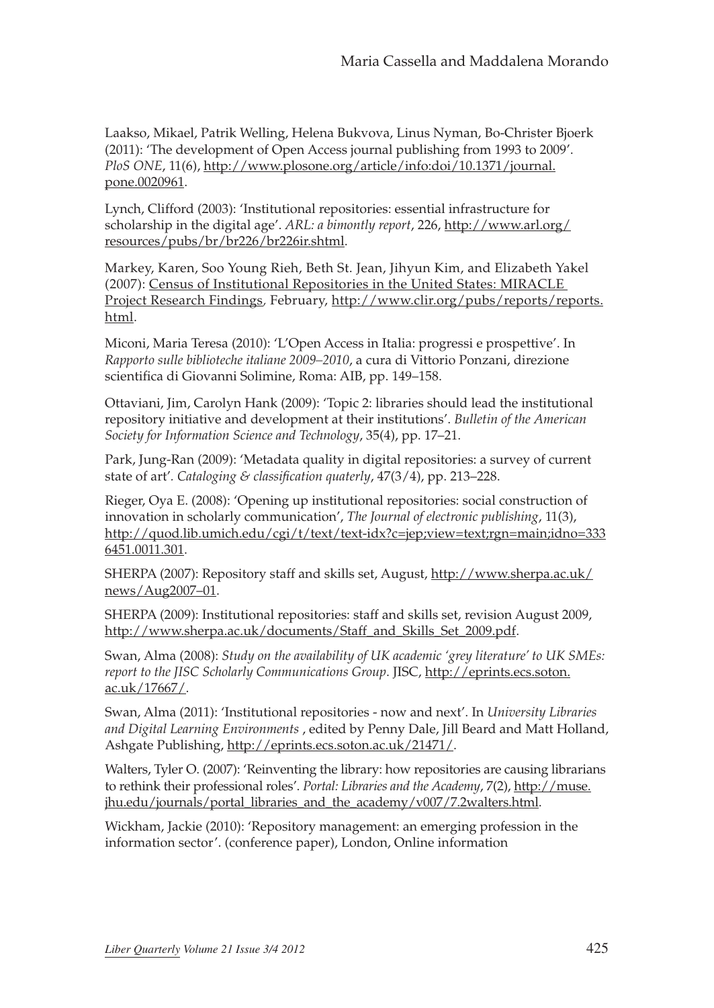Laakso, Mikael, Patrik Welling, Helena Bukvova, Linus Nyman, Bo-Christer Bjoerk (2011): 'The development of Open Access journal publishing from 1993 to 2009'. *PloS ONE*, 11(6), [http://www.plosone.org/article/info:doi/10.1371/journal.](http://www.plosone.org/article/info:doi/10.1371/journal.pone.0020961) [pone.0020961](http://www.plosone.org/article/info:doi/10.1371/journal.pone.0020961).

Lynch, Clifford (2003): 'Institutional repositories: essential infrastructure for scholarship in the digital age'. *ARL: a bimontly report*, 226, [http://www.arl.org/](http://www.arl.org/resources/pubs/br/br226/br226ir.shtml) [resources/pubs/br/br226/br226ir.shtml.](http://www.arl.org/resources/pubs/br/br226/br226ir.shtml)

Markey, Karen, Soo Young Rieh, Beth St. Jean, Jihyun Kim, and Elizabeth Yakel (2007): [Census of Institutional Repositories in the United States: MIRACLE](http://www.clir.org/pubs/abstract/pub140abst.html)  [Project Research Findings](http://www.clir.org/pubs/abstract/pub140abst.html)*,* February, [http://www.clir.org/pubs/reports/reports.](http://www.clir.org/pubs/reports/reports.html) [html](http://www.clir.org/pubs/reports/reports.html).

Miconi, Maria Teresa (2010): 'L'Open Access in Italia: progressi e prospettive'. In *Rapporto sulle biblioteche italiane 2009–2010*, a cura di Vittorio Ponzani, direzione scientifica di Giovanni Solimine, Roma: AIB, pp. 149–158.

Ottaviani, Jim, Carolyn Hank (2009): 'Topic 2: libraries should lead the institutional repository initiative and development at their institutions'. *Bulletin of the American Society for Information Science and Technology*, 35(4), pp. 17–21.

Park, Jung-Ran (2009): 'Metadata quality in digital repositories: a survey of current state of art'*. Cataloging & classification quaterly*, 47(3/4), pp. 213–228.

Rieger, Oya E. (2008): 'Opening up institutional repositories: social construction of innovation in scholarly communication', *The Journal of electronic publishing*, 11(3), http://quod.lib.umich.edu/cgi/t/text/text-idx?c=jep;view=text;rgn=main;idno=333 6451.0011.301.

SHERPA (2007): Repository staff and skills set, August, [http://www.sherpa.ac.uk/](http://www.sherpa.ac.uk/news/Aug2007-01) [news/Aug2](http://www.sherpa.ac.uk/news/Aug2007-01)007–01.

SHERPA (2009): Institutional repositories: staff and skills set, revision August 2009, [http://www.sherpa.ac.uk/documents/Staff\\_and\\_Skills\\_Set\\_2009.pdf](http://www.sherpa.ac.uk/documents/Staff_and_Skills_Set_2009.pdf).

Swan, Alma (2008): *Study on the availability of UK academic 'grey literature' to UK SMEs: report to the JISC Scholarly Communications Group*. JISC, [http://eprints.ecs.soton.](http://eprints.ecs.soton.ac.uk/17667/) [ac.uk/17667/](http://eprints.ecs.soton.ac.uk/17667/).

Swan, Alma (2011): 'Institutional repositories - now and next'. In *University Libraries and Digital Learning Environments* , edited by Penny Dale, Jill Beard and Matt Holland, Ashgate Publishing,<http://eprints.ecs.soton.ac.uk/21471/>.

Walters, Tyler O. (2007): 'Reinventing the library: how repositories are causing librarians to rethink their professional roles'. *Portal: Libraries and the Academy*, 7(2), [http://muse.](http://muse.jhu.edu/journals/portal_libraries_and_the_academy/v007/7.2walters.html) [jhu.edu/journals/portal\\_libraries\\_and\\_the\\_academy/v007/7.2walters.html.](http://muse.jhu.edu/journals/portal_libraries_and_the_academy/v007/7.2walters.html)

Wickham, Jackie (2010): 'Repository management: an emerging profession in the information sector'. (conference paper), London, Online information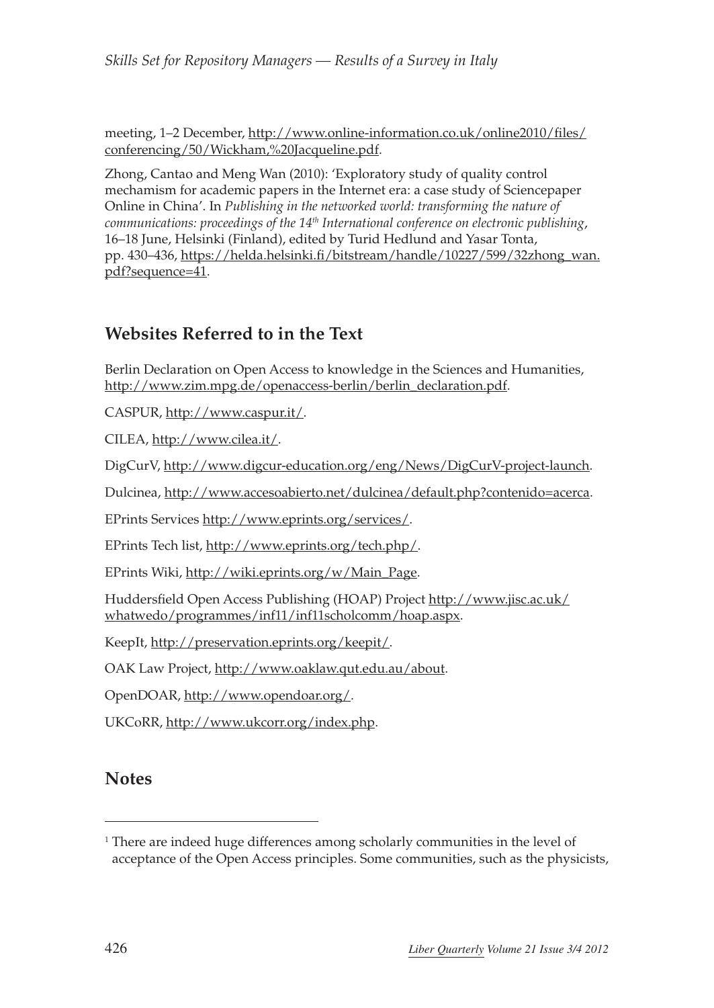meeting, 1–2 December, [http://www.online-information.co.uk/online2010/files/](http://www.online-information.co.uk/online2010/files/conferencing/50/Wickham, Jacqueline.pdf) [conferencing/50/Wickham,%20Jacqueline.pdf.](http://www.online-information.co.uk/online2010/files/conferencing/50/Wickham, Jacqueline.pdf)

Zhong, Cantao and Meng Wan (2010): 'Exploratory study of quality control mechamism for academic papers in the Internet era: a case study of Sciencepaper Online in China'. In *Publishing in the networked world: transforming the nature of communications: proceedings of the 14th International conference on electronic publishing*, 16–18 June, Helsinki (Finland), edited by Turid Hedlund and Yasar Tonta, pp. 430–436, [https://helda.helsinki.fi/bitstream/handle/10227/599/32zhong\\_wan.](https://helda.helsinki.fi/bitstream/handle/10227/599/32zhong_wan.pdf?sequence=41) [pdf?sequence=41.](https://helda.helsinki.fi/bitstream/handle/10227/599/32zhong_wan.pdf?sequence=41)

### **Websites Referred to in the Text**

Berlin Declaration on Open Access to knowledge in the Sciences and Humanities, [http://www.zim.mpg.de/openaccess-berlin/berlin\\_declaration.pdf](http://www.zim.mpg.de/openaccess-berlin/berlin_declaration.pdf).

CASPUR, [http://www.caspur.it/.](http://www.caspur.it/)

CILEA, [http://www.cilea.it/.](http://www.cilea.it/)

DigCurV, http://www.digcur-education.org/eng/News/DigCurV-project-launch.

Dulcinea,<http://www.accesoabierto.net/dulcinea/default.php?contenido=acerca>.

EPrints Services <http://www.eprints.org/services/>.

EPrints Tech list, [http://www.eprints.org/tech.php/.](http://www.eprints.org/tech.php/)

EPrints Wiki, [http://wiki.eprints.org/w/Main\\_Page.](http://wiki.eprints.org/w/Main_Page)

Huddersfield Open Access Publishing (HOAP) Project http://www.jisc.ac.uk/ whatwedo/programmes/inf11/inf11scholcomm/hoap.aspx.

KeepIt, [http://preservation.eprints.org/keepit/.](http://preservation.eprints.org/keepit/)

OAK Law Project,<http://www.oaklaw.qut.edu.au/about>.

OpenDOAR, http://www.opendoar.org/.

UKCoRR, http://www.ukcorr.org/index.php.

### **Notes**

<sup>1</sup> There are indeed huge differences among scholarly communities in the level of acceptance of the Open Access principles. Some communities, such as the physicists,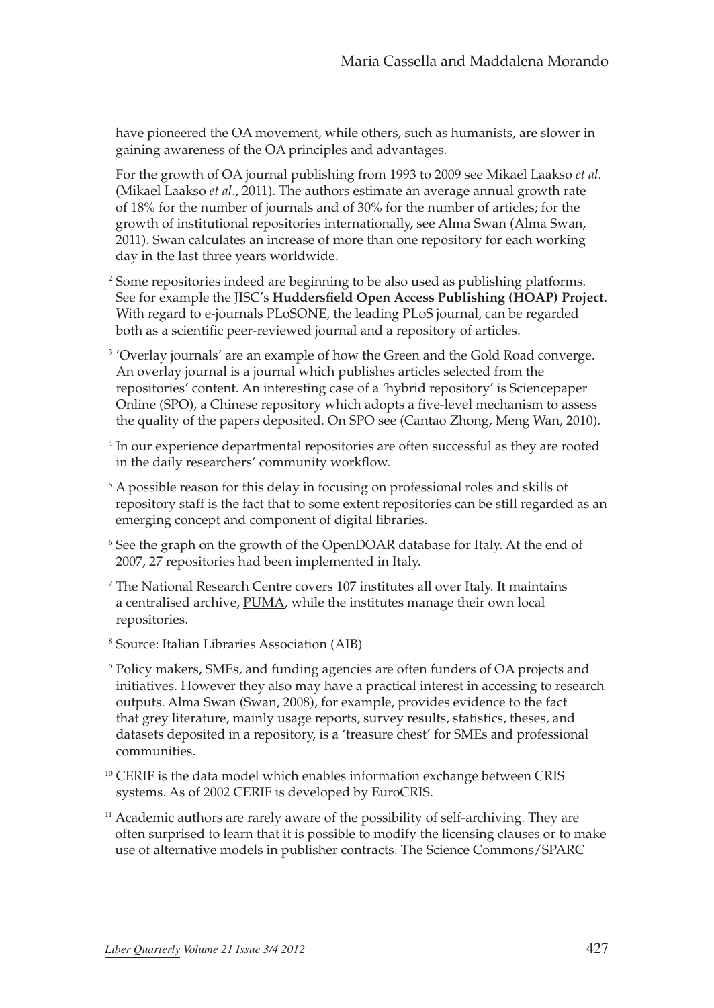have pioneered the OA movement, while others, such as humanists, are slower in gaining awareness of the OA principles and advantages.

For the growth of OA journal publishing from 1993 to 2009 see Mikael Laakso *et al*. (Mikael Laakso *et al*., 2011). The authors estimate an average annual growth rate of 18% for the number of journals and of 30% for the number of articles; for the growth of institutional repositories internationally, see Alma Swan (Alma Swan, 2011). Swan calculates an increase of more than one repository for each working day in the last three years worldwide.

- <sup>2</sup> Some repositories indeed are beginning to be also used as publishing platforms. See for example the JISC's **Huddersfield Open Access Publishing (HOAP) Project.** With regard to e-journals PLoSONE, the leading PLoS journal, can be regarded both as a scientific peer-reviewed journal and a repository of articles.
- <sup>3</sup> 'Overlay journals' are an example of how the Green and the Gold Road converge. An overlay journal is a journal which publishes articles selected from the repositories' content. An interesting case of a 'hybrid repository' is Sciencepaper Online (SPO), a Chinese repository which adopts a five-level mechanism to assess the quality of the papers deposited. On SPO see (Cantao Zhong, Meng Wan, 2010).
- <sup>4</sup> In our experience departmental repositories are often successful as they are rooted in the daily researchers' community workflow.
- <sup>5</sup> A possible reason for this delay in focusing on professional roles and skills of repository staff is the fact that to some extent repositories can be still regarded as an emerging concept and component of digital libraries.
- <sup>6</sup> See the graph on the growth of the OpenDOAR database for Italy. At the end of 2007, 27 repositories had been implemented in Italy.
- <sup>7</sup> The National Research Centre covers 107 institutes all over Italy. It maintains a centralised archive, PUMA, while the institutes manage their own local repositories.
- <sup>8</sup> Source: Italian Libraries Association (AIB)
- <sup>9</sup> Policy makers, SMEs, and funding agencies are often funders of OA projects and initiatives. However they also may have a practical interest in accessing to research outputs. Alma Swan (Swan, 2008), for example, provides evidence to the fact that grey literature, mainly usage reports, survey results, statistics, theses, and datasets deposited in a repository, is a 'treasure chest' for SMEs and professional communities.
- <sup>10</sup> CERIF is the data model which enables information exchange between CRIS systems. As of 2002 CERIF is developed by EuroCRIS.
- <sup>11</sup> Academic authors are rarely aware of the possibility of self-archiving. They are often surprised to learn that it is possible to modify the licensing clauses or to make use of alternative models in publisher contracts. The Science Commons/SPARC